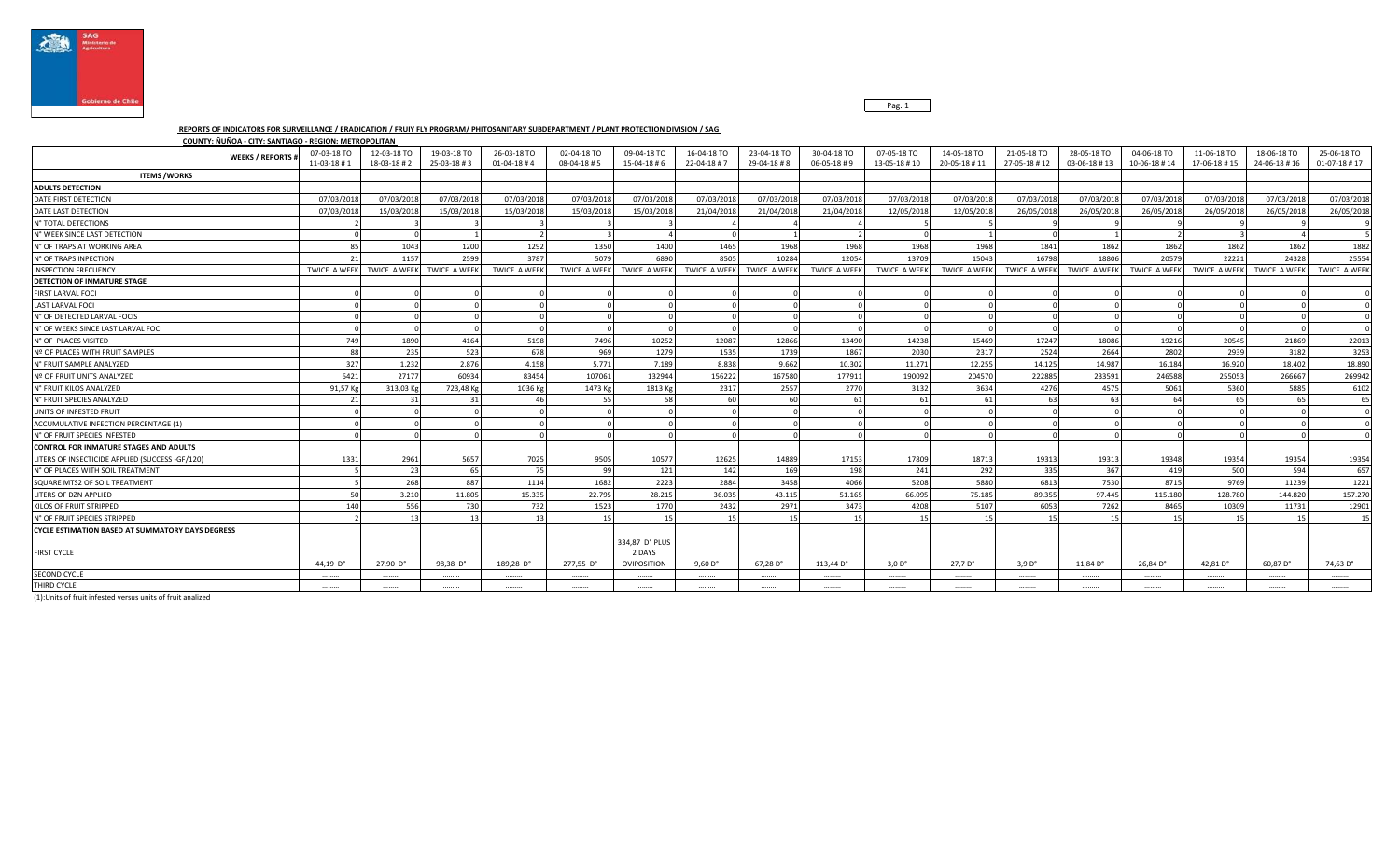



## **REPORTS OF INDICATORS FOR SURVEILLANCE / ERADICATION / FRUIY FLY PROGRAM/ PHITOSANITARY SUBDEPARTMENT / PLANT PROTECTION DIVISION / SAG**

**COUNTY: ÑUÑOA - CITY: SANTIAGO - REGION: METROPOLITAN** 

| <b>WEEKS / REPORTS#</b>                                 | 07-03-18 TO<br>$11 - 03 - 18 + 1$ | 12-03-18 TO<br>18-03-18 #2 | 19-03-18 TO<br>25-03-18#3              | 26-03-18 TO<br>$01 - 04 - 18 + 4$ | 02-04-18 TO<br>08-04-18#5 | 09-04-18 TO<br>15-04-18#6               | 16-04-18 TO<br>22-04-18 #7 | 23-04-18 TO<br>29-04-18#8 | 30-04-18 TO<br>$06 - 05 - 18 + 9$ | 07-05-18 TO<br>13-05-18 #10 | 14-05-18 TO<br>20-05-18 #11 | 21-05-18 TO<br>27-05-18 #12 | 28-05-18 TO<br>03-06-18#13 | 04-06-18 TO<br>10-06-18 #14 | 11-06-18 TO<br>17-06-18 #15 | 18-06-18 TO<br>24-06-18 #16 | 25-06-18 TO<br>$01 - 07 - 18 \# 17$ |
|---------------------------------------------------------|-----------------------------------|----------------------------|----------------------------------------|-----------------------------------|---------------------------|-----------------------------------------|----------------------------|---------------------------|-----------------------------------|-----------------------------|-----------------------------|-----------------------------|----------------------------|-----------------------------|-----------------------------|-----------------------------|-------------------------------------|
| <b>ITEMS / WORKS</b>                                    |                                   |                            |                                        |                                   |                           |                                         |                            |                           |                                   |                             |                             |                             |                            |                             |                             |                             |                                     |
| <b>ADULTS DETECTION</b>                                 |                                   |                            |                                        |                                   |                           |                                         |                            |                           |                                   |                             |                             |                             |                            |                             |                             |                             |                                     |
| DATE FIRST DETECTION                                    | 07/03/2018                        | 07/03/2018                 | 07/03/2018                             | 07/03/2018                        | 07/03/2018                | 07/03/2018                              | 07/03/2018                 | 07/03/2018                | 07/03/2018                        | 07/03/2018                  | 07/03/2018                  | 07/03/2018                  | 07/03/2018                 | 07/03/2018                  | 07/03/2018                  | 07/03/2018                  | 07/03/2018                          |
| DATE LAST DETECTION                                     | 07/03/2018                        | 15/03/2018                 | 15/03/2018                             | 15/03/2018                        | 15/03/2018                | 15/03/2018                              | 21/04/2018                 | 21/04/2018                | 21/04/2018                        | 12/05/2018                  | 12/05/2018                  | 26/05/2018                  | 26/05/2018                 | 26/05/2018                  | 26/05/2018                  | 26/05/2018                  | 26/05/2018                          |
| N° TOTAL DETECTIONS                                     |                                   |                            |                                        |                                   |                           |                                         |                            |                           |                                   |                             |                             |                             |                            |                             |                             |                             |                                     |
| N° WEEK SINCE LAST DETECTION                            |                                   |                            |                                        |                                   |                           |                                         |                            |                           |                                   |                             |                             |                             |                            |                             |                             |                             |                                     |
| N° OF TRAPS AT WORKING AREA                             | 85                                | 1043                       | 1200                                   | 1292                              | 1350                      | 1400                                    | 1465                       | 1968                      | 1968                              | 1968                        | 1968                        | 1841                        | 1862                       | 1862                        | 1862                        | 1862                        | 1882                                |
| N° OF TRAPS INPECTION                                   | 21                                | 1157                       | 2599                                   | 3787                              | 5079                      | 6890                                    | 8505                       | 10284                     | 12054                             | 13709                       | 15043                       | 16798                       | 18806                      | 20579                       | 22221                       | 24328                       | 25554                               |
| <b>INSPECTION FRECUENCY</b>                             |                                   |                            | TWICE A WEEK TWICE A WEEK TWICE A WEEK | TWICE A WEEK                      | TWICE A WEEK              | TWICE A WEEK                            | TWICE A WEEK               | TWICE A WEEK              | <b>TWICE A WEEK</b>               | <b>TWICE A WEEK</b>         | TWICE A WEEK                | TWICE A WEEK                | TWICE A WEEK               | TWICE A WEEK                | TWICE A WEEK                | <b>TWICE A WEEK</b>         | TWICE A WEEK                        |
| <b>DETECTION OF INMATURE STAGE</b>                      |                                   |                            |                                        |                                   |                           |                                         |                            |                           |                                   |                             |                             |                             |                            |                             |                             |                             |                                     |
| <b>FIRST LARVAL FOCI</b>                                |                                   |                            |                                        |                                   |                           |                                         |                            |                           |                                   |                             |                             |                             |                            |                             |                             |                             |                                     |
| <b>LAST LARVAL FOCI</b>                                 |                                   |                            |                                        |                                   |                           |                                         |                            |                           |                                   |                             |                             |                             |                            |                             |                             |                             |                                     |
| N° OF DETECTED LARVAL FOCIS                             |                                   |                            |                                        |                                   |                           |                                         |                            |                           |                                   |                             |                             |                             |                            |                             |                             |                             |                                     |
| N° OF WEEKS SINCE LAST LARVAL FOCI                      |                                   |                            |                                        |                                   |                           |                                         |                            |                           |                                   |                             |                             |                             |                            |                             |                             |                             |                                     |
| N° OF PLACES VISITED                                    | 749                               | 1890                       | 4164                                   | 5198                              | 7496                      | 10252                                   | 12087                      | 12866                     | 13490                             | 14238                       | 15469                       | 17247                       | 18086                      | 19216                       | 20545                       | 21869                       | 22013                               |
| Nº OF PLACES WITH FRUIT SAMPLES                         | 88                                | 235                        | 523                                    | 678                               | 969                       | 1279                                    | 1535                       | 1739                      | 1867                              | 2030                        | 2317                        | 2524                        | 2664                       | 2802                        | 2939                        | 3182                        | 3253                                |
| N° FRUIT SAMPLE ANALYZED                                | 327                               | 1.232                      | 2.876                                  | 4.158                             | 5.771                     | 7.189                                   | 8.838                      | 9.662                     | 10.302                            | 11.271                      | 12.255                      | 14.125                      | 14.987                     | 16.184                      | 16.920                      | 18,402                      | 18.890                              |
| Nº OF FRUIT UNITS ANALYZED                              | 6421                              | 27177                      | 60934                                  | 83454                             | 107061                    | 132944                                  | 156222                     | 167580                    | 177911                            | 190092                      | 204570                      | 222885                      | 233591                     | 246588                      | 255053                      | 266667                      | 269942                              |
| N° FRUIT KILOS ANALYZED                                 | 91.57 Kg                          | 313.03 Kg                  | 723.48 Kg                              | 1036 Kg                           | 1473 Kg                   | 1813 Kg                                 | 2317                       | 2557                      | 2770                              | 3132                        | 3634                        | 4276                        | 4575                       | 5061                        | 5360                        | 5885                        | 6102                                |
| N° FRUIT SPECIES ANALYZED                               | 21                                |                            | 31                                     | 46                                | 55                        | 58                                      | 60                         | 60                        | 61                                | 61                          | 61                          |                             | 63                         | 64                          | 65                          | 65                          | 65                                  |
| UNITS OF INFESTED FRUIT                                 |                                   |                            |                                        |                                   |                           |                                         |                            |                           |                                   |                             |                             |                             |                            |                             |                             |                             |                                     |
| <b>ACCUMULATIVE INFECTION PERCENTAGE (1)</b>            |                                   |                            |                                        |                                   |                           |                                         |                            |                           |                                   |                             |                             |                             |                            |                             |                             |                             |                                     |
| N° OF FRUIT SPECIES INFESTED                            |                                   |                            |                                        |                                   |                           |                                         |                            |                           |                                   |                             |                             |                             |                            |                             |                             |                             |                                     |
| <b>CONTROL FOR INMATURE STAGES AND ADULTS</b>           |                                   |                            |                                        |                                   |                           |                                         |                            |                           |                                   |                             |                             |                             |                            |                             |                             |                             |                                     |
| LITERS OF INSECTICIDE APPLIED (SUCCESS -GF/120)         | 1331                              | 2961                       | 5657                                   | 7025                              | 9505                      | 10577                                   | 12625                      | 14889                     | 17153                             | 17809                       | 18713                       | 19313                       | 19313                      | 19348                       | 19354                       | 19354                       | 19354                               |
| N° OF PLACES WITH SOIL TREATMENT                        |                                   | 23                         | 65                                     | 75                                | 99                        | 121                                     | 142                        | 169                       | 198                               | 241                         | 292                         | 335                         | 367                        | 419                         | 500                         | 594                         | 657                                 |
| SQUARE MTS2 OF SOIL TREATMENT                           |                                   | 268                        | 887                                    | 1114                              | 1682                      | 2223                                    | 2884                       | 3458                      | 4066                              | 5208                        | 5880                        | 6813                        | 7530                       | 8715                        | 9769                        | 11239                       | 1221                                |
| LITERS OF DZN APPLIED                                   | 50 <sup>1</sup>                   | 3.210                      | 11.805                                 | 15.335                            | 22.795                    | 28.215                                  | 36.035                     | 43.115                    | 51.165                            | 66.095                      | 75.185                      | 89.355                      | 97.445                     | 115.180                     | 128.780                     | 144.820                     | 157.270                             |
| KILOS OF FRUIT STRIPPED                                 | 140                               | 556                        | 730                                    | 732                               | 1523                      | 1770                                    | 2432                       | 2971                      | 3473                              | 4208                        | 5107                        | 6053                        | 7262                       | 8465                        | 10309                       | 11731                       | 12901                               |
| N° OF FRUIT SPECIES STRIPPED                            |                                   | 13                         | 13                                     | 13                                | 15                        | 15                                      | 15                         | 15                        | 15                                | 15                          | 15                          | 15                          | 15                         | 15                          | 15                          | 15                          | 15                                  |
| <b>CYCLE ESTIMATION BASED AT SUMMATORY DAYS DEGRESS</b> |                                   |                            |                                        |                                   |                           |                                         |                            |                           |                                   |                             |                             |                             |                            |                             |                             |                             |                                     |
| <b>FIRST CYCLE</b>                                      | 44.19 $D^{\circ}$                 | 27,90 D°                   | 98,38 D°                               | 189,28 D°                         | 277,55 D°                 | 334,87 D° PLUS<br>2 DAYS<br>OVIPOSITION | $9,60 D$ °                 | $67,28$ D°                | 113,44 D°                         | 3.0 D <sup>o</sup>          | 27.7 D <sup>o</sup>         | 3.9 D <sup>o</sup>          | 11,84 D°                   | 26,84 D°                    | 42,81 D°                    | 60,87 D°                    | 74,63 D°                            |
| <b>SECOND CYCLE</b>                                     | .                                 |                            | .                                      |                                   |                           |                                         |                            |                           |                                   |                             |                             |                             | .                          | .                           | .                           |                             |                                     |
| THIRD CYCLE                                             |                                   |                            |                                        |                                   |                           |                                         |                            |                           |                                   |                             |                             |                             |                            |                             |                             |                             |                                     |
|                                                         |                                   |                            |                                        |                                   |                           |                                         |                            |                           |                                   |                             |                             |                             |                            |                             |                             |                             |                                     |

(1):Units of fruit infested versus units of fruit analized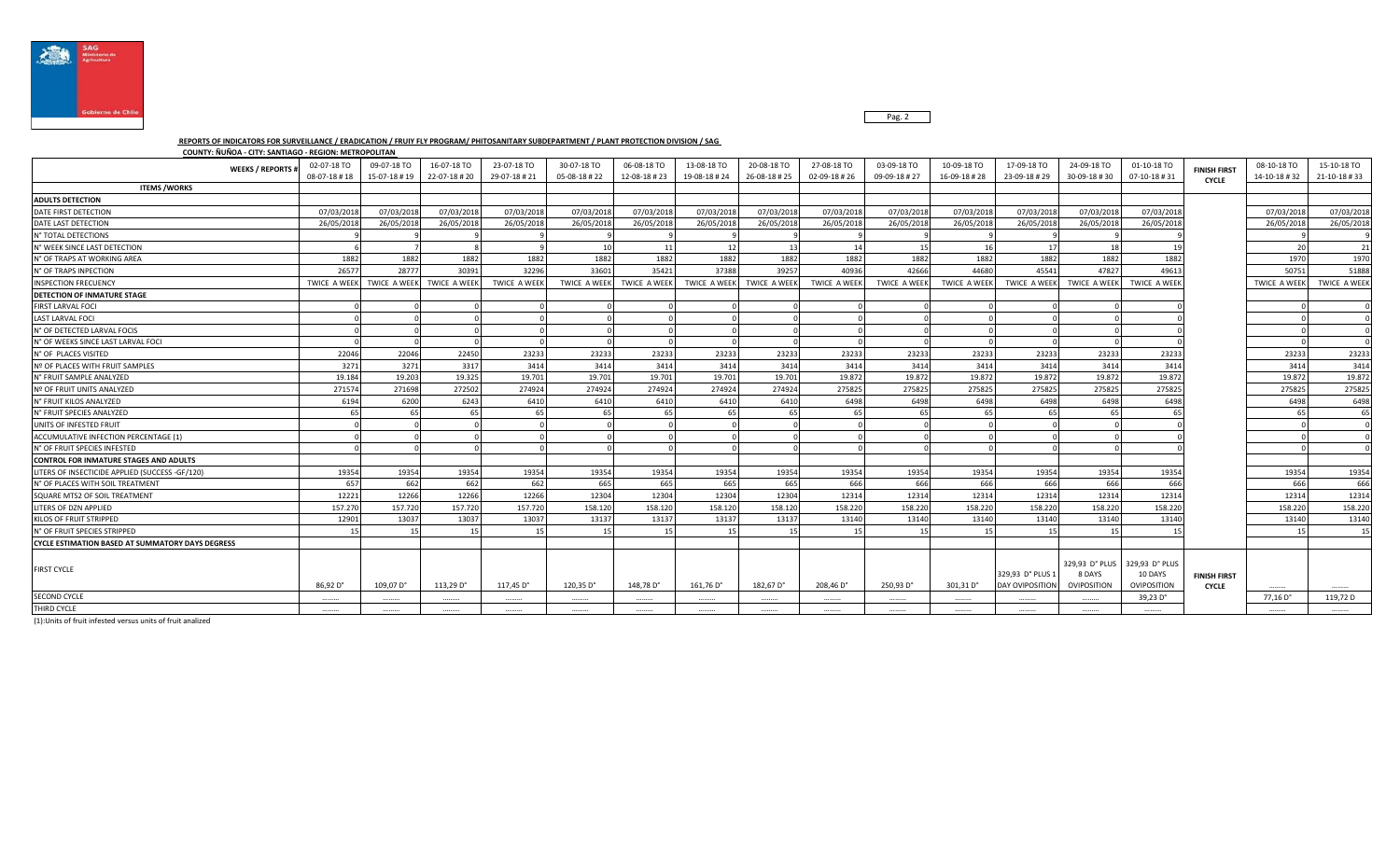

Pag. 2

## **REPORTS OF INDICATORS FOR SURVEILLANCE / ERADICATION / FRUIY FLY PROGRAM/ PHITOSANITARY SUBDEPARTMENT / PLANT PROTECTION DIVISION / SAG**

**COUNTY: ÑUÑOA - CITY: SANTIAGO - REGION: METROPOLITAN** 

| <b>WEEKS / REPORTS #</b>                                | 02-07-18 TO<br>08-07-18 #18 | 09-07-18 TO<br>15-07-18 #19 | 16-07-18 TO<br>22-07-18 # 20 | 23-07-18 TO<br>29-07-18 # 21 | 30-07-18 TO<br>05-08-18 #22 | 06-08-18 TO<br>12-08-18 #23 | 13-08-18 TO<br>19-08-18 #24 | 20-08-18 TO<br>26-08-18#25 | 27-08-18 TO<br>02-09-18 #26 | 03-09-18 TO<br>09-09-18 # 27 | 10-09-18 TO<br>16-09-18 #28 | 17-09-18 TO<br>23-09-18 # 29        | 24-09-18 TO<br>30-09-18 #30             | 01-10-18 TO<br>07-10-18#31               | <b>FINISH FIRST</b><br><b>CYCLE</b> | 08-10-18 TO<br>14-10-18 #32 | 15-10-18 TO<br>21-10-18 #33 |
|---------------------------------------------------------|-----------------------------|-----------------------------|------------------------------|------------------------------|-----------------------------|-----------------------------|-----------------------------|----------------------------|-----------------------------|------------------------------|-----------------------------|-------------------------------------|-----------------------------------------|------------------------------------------|-------------------------------------|-----------------------------|-----------------------------|
| <b>ITEMS / WORKS</b>                                    |                             |                             |                              |                              |                             |                             |                             |                            |                             |                              |                             |                                     |                                         |                                          |                                     |                             |                             |
| <b>ADULTS DETECTION</b>                                 |                             |                             |                              |                              |                             |                             |                             |                            |                             |                              |                             |                                     |                                         |                                          |                                     |                             |                             |
| DATE FIRST DETECTION                                    | 07/03/201                   | 07/03/201                   | 07/03/2018                   | 07/03/201                    | 07/03/201                   | 07/03/2018                  | 07/03/201                   | 07/03/2018                 | 07/03/2018                  | 07/03/2018                   | 07/03/2018                  | 07/03/2018                          | 07/03/2018                              | 07/03/2018                               |                                     | 07/03/2018                  | 07/03/2018                  |
| DATE LAST DETECTION                                     | 26/05/201                   | 26/05/201                   | 26/05/2018                   | 26/05/201                    | 26/05/201                   | 26/05/2018                  | 26/05/201                   | 26/05/2018                 | 26/05/2018                  | 26/05/2018                   | 26/05/2018                  | 26/05/2018                          | 26/05/2018                              | 26/05/2018                               |                                     | 26/05/2018                  | 26/05/2018                  |
| N° TOTAL DETECTIONS                                     |                             |                             |                              |                              |                             |                             |                             |                            |                             |                              |                             |                                     |                                         |                                          |                                     |                             |                             |
| N° WEEK SINCE LAST DETECTION                            |                             |                             |                              |                              | 10                          | 11                          | 12                          | 13                         | 14                          | 15                           | 16                          | 17                                  | 18                                      |                                          |                                     | 20                          | 21                          |
| N° OF TRAPS AT WORKING AREA                             | 1882                        | 1882                        | 1882                         | 1882                         | 1882                        | 1882                        | 1882                        | 1882                       | 1882                        | 1882                         | 1882                        | 1882                                | 1882                                    | 1882                                     |                                     | 1970                        | 1970                        |
| N° OF TRAPS INPECTION                                   | 26577                       | 28777                       | 30391                        | 32296                        | 33601                       | 35421                       | 37388                       | 39257                      | 40936                       | 42666                        | 44680                       | 45541                               | 47827                                   | 49613                                    |                                     | 50751                       | 51888                       |
| <b>INSPECTION FRECUENCY</b>                             | <b>TWICE A WEEK</b>         | <b>TWICE A WEEK</b>         | <b>TWICE A WEEK</b>          | <b>TWICE A WEEK</b>          | <b>TWICE A WEEK</b>         | <b>TWICE A WEEK</b>         | <b>TWICE A WEEK</b>         | <b>TWICE A WEEK</b>        | TWICE A WEEK                | <b>TWICE A WEEK</b>          | <b>TWICE A WEEK</b>         | <b>TWICE A WEEK</b>                 | <b>TWICE A WEEK</b>                     | <b>TWICE A WEEK</b>                      |                                     | <b>TWICE A WEEK</b>         | <b>TWICE A WEEK</b>         |
| <b>DETECTION OF INMATURE STAGE</b>                      |                             |                             |                              |                              |                             |                             |                             |                            |                             |                              |                             |                                     |                                         |                                          |                                     |                             |                             |
| <b>FIRST LARVAL FOCI</b>                                |                             |                             |                              |                              |                             |                             |                             |                            |                             |                              |                             |                                     |                                         |                                          |                                     |                             |                             |
| <b>LAST LARVAL FOCI</b>                                 |                             |                             |                              |                              |                             |                             |                             |                            |                             |                              |                             |                                     |                                         |                                          |                                     |                             |                             |
| N° OF DETECTED LARVAL FOCIS                             |                             |                             |                              |                              |                             |                             |                             |                            |                             |                              |                             |                                     |                                         |                                          |                                     |                             |                             |
| IN° OF WEEKS SINCE LAST LARVAL FOCI                     |                             |                             |                              |                              |                             |                             |                             |                            |                             |                              |                             |                                     |                                         |                                          |                                     |                             |                             |
| N° OF PLACES VISITED                                    | 22046                       | 22046                       | 22450                        | 23233                        | 23233                       | 23233                       | 23233                       | 23233                      | 23233                       | 23233                        | 23233                       | 23233                               | 23233                                   | 23233                                    |                                     | 23233                       | 23233                       |
| Nº OF PLACES WITH FRUIT SAMPLES                         | 3271                        | 3271                        | 3317                         | 3414                         | 3414                        | 3414                        | 3414                        | 3414                       | 3414                        | 3414                         | 3414                        | 3414                                | 3414                                    | 3414                                     |                                     | 3414                        | 3414                        |
| N° FRUIT SAMPLE ANALYZED                                | 19.184                      | 19.203                      | 19.325                       | 19.701                       | 19.701                      | 19.701                      | 19.701                      | 19.701                     | 19.872                      | 19.872                       | 19.872                      | 19.872                              | 19.872                                  | 19.872                                   |                                     | 19.872                      | 19.872                      |
| Nº OF FRUIT UNITS ANALYZED                              | 271574                      | 271698                      | 272502                       | 274924                       | 274924                      | 274924                      | 274924                      | 274924                     | 275825                      | 275825                       | 275825                      | 275825                              | 275825                                  | 275825                                   |                                     | 275825                      | 275825                      |
| N° FRUIT KILOS ANALYZED                                 | 6194                        | 6200                        | 6243                         | 6410                         | 6410                        | 6410                        | 6410                        | 6410                       | 6498                        | 6498                         | 6498                        | 6498                                | 6498                                    | 6498                                     |                                     | 6498                        | 6498                        |
| N° FRUIT SPECIES ANALYZED                               |                             |                             |                              | 65                           | -65                         | 65                          | -65                         | 65                         | 65                          |                              | 65                          | 65                                  | 65                                      |                                          |                                     | 65                          | 65                          |
| UNITS OF INFESTED FRUIT                                 |                             |                             |                              |                              |                             |                             |                             |                            |                             |                              |                             |                                     |                                         |                                          |                                     |                             |                             |
| ACCUMULATIVE INFECTION PERCENTAGE (1)                   |                             |                             |                              |                              |                             |                             |                             |                            |                             |                              |                             |                                     |                                         |                                          |                                     |                             |                             |
| N° OF FRUIT SPECIES INFESTED                            |                             |                             |                              |                              |                             |                             |                             |                            |                             |                              |                             |                                     |                                         |                                          |                                     |                             |                             |
| <b>CONTROL FOR INMATURE STAGES AND ADULTS</b>           |                             |                             |                              |                              |                             |                             |                             |                            |                             |                              |                             |                                     |                                         |                                          |                                     |                             |                             |
| LITERS OF INSECTICIDE APPLIED (SUCCESS -GF/120)         | 19354                       | 19354                       | 19354                        | 19354                        | 19354                       | 19354                       | 19354                       | 19354                      | 19354                       | 19354                        | 19354                       | 19354                               | 19354                                   | 19354                                    |                                     | 19354                       | 19354                       |
| N° OF PLACES WITH SOIL TREATMENT                        | 657                         | 662                         | 662                          | 662                          | 665                         | 665                         | 665                         | 665                        | 666                         | 666                          | 666                         | 666                                 | 666                                     | 666                                      |                                     | 666                         | 666                         |
| SQUARE MTS2 OF SOIL TREATMENT                           | 12221                       | 12266                       | 12266                        | 12266                        | 12304                       | 12304                       | 12304                       | 12304                      | 12314                       | 12314                        | 12314                       | 12314                               | 12314                                   | 12314                                    |                                     | 12314                       | 12314                       |
| LITERS OF DZN APPLIED                                   | 157,270                     | 157,720                     | 157.720                      | 157,720                      | 158.120                     | 158.120                     | 158,120                     | 158.120                    | 158,220                     | 158,220                      | 158.220                     | 158,220                             | 158,220                                 | 158,220                                  |                                     | 158,220                     | 158.220                     |
| KILOS OF FRUIT STRIPPED                                 | 12901                       | 13037                       | 13037                        | 13037                        | 13137                       | 13137                       | 13137                       | 13137                      | 13140                       | 13140                        | 13140                       | 13140                               | 13140                                   | 13140                                    |                                     | 13140                       | 13140                       |
| N° OF FRUIT SPECIES STRIPPED                            |                             |                             |                              | 15                           | 15                          | 15                          | 15                          |                            |                             |                              | 15                          |                                     |                                         |                                          |                                     |                             | 15                          |
| <b>CYCLE ESTIMATION BASED AT SUMMATORY DAYS DEGRESS</b> |                             |                             |                              |                              |                             |                             |                             |                            |                             |                              |                             |                                     |                                         |                                          |                                     |                             |                             |
| <b>FIRST CYCLE</b>                                      | 86,92 D°                    | 109,07 D°                   | 113,29 D°                    | 117,45 D°                    | 120,35 D°                   | 148,78 D°                   | 161,76 D°                   | 182,67 D°                  | 208,46 D°                   | 250,93 D°                    | 301,31 D°                   | 329,93 D° PLUS 1<br>DAY OVIPOSITION | 329,93 D° PLUS<br>8 DAYS<br>OVIPOSITION | 329,93 D° PLUS<br>10 DAYS<br>OVIPOSITION | <b>FINISH FIRST</b><br><b>CYCLE</b> |                             |                             |
| <b>SECOND CYCLE</b>                                     | .                           |                             |                              |                              | .                           |                             |                             |                            |                             |                              |                             | .                                   |                                         | 39,23 D°                                 |                                     | 77,16 D°                    | 119,72 D                    |
| THIRD CYCLE                                             |                             |                             |                              |                              |                             |                             |                             |                            |                             |                              |                             |                                     |                                         |                                          |                                     |                             |                             |

(1):Units of fruit infested versus units of fruit analized